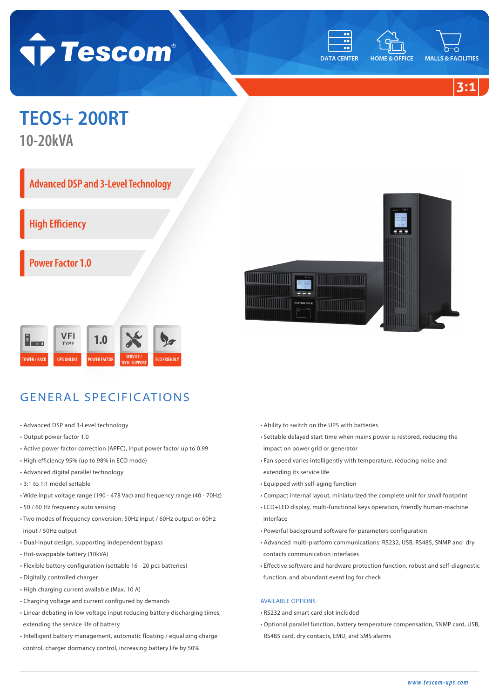





## **TEOS+ 200RT**

**10-20kVA**

**Advanced DSP and 3-Level Technology** 

**High Efficiency**

**Power Factor 1.0**





- Advanced DSP and 3-Level technology
- Output power factor 1.0
- Active power factor correction (APFC), input power factor up to 0.99
- High efficiency 95% (up to 98% in ECO mode)
- Advanced digital parallel technology
- 3:1 to 1:1 model settable
- Wide input voltage range (190 478 Vac) and frequency range (40 70Hz)
- 50 / 60 Hz frequency auto sensing
- Two modes of frequency conversion: 50Hz input / 60Hz output or 60Hz input / 50Hz output
- Dual-input design, supporting independent bypass
- Hot-swappable battery (10kVA)
- Flexible battery configuration (settable 16 20 pcs batteries)
- Digitally controlled charger
- High charging current available (Max. 10 A)
- Charging voltage and current configured by demands
- Linear debating in low voltage input reducing battery discharging times, extending the service life of battery
- Intelligent battery management, automatic floating / equalizing charge control, charger dormancy control, increasing battery life by 50%
- Ability to switch on the UPS with batteries
- Settable delayed start time when mains power is restored, reducing the impact on power grid or generator
- Fan speed varies intelligently with temperature, reducing noise and extending its service life
- Equipped with self-aging function
- Compact internal layout, miniaturized the complete unit for small footprint
- LCD+LED display, multi-functional keys operation, friendly human-machine interface
- Powerful background software for parameters configuration
- Advanced multi-platform communications: RS232, USB, RS485, SNMP and dry contacts communication interfaces
- Effective software and hardware protection function, robust and self-diagnostic function, and abundant event log for check

## AVAILABLE OPTIONS

- RS232 and smart card slot included
- Optional parallel function, battery temperature compensation, SNMP card, USB, RS485 card, dry contacts, EMD, and SMS alarms